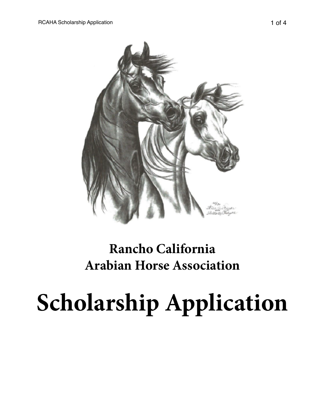

# **Rancho California Arabian Horse Association**

# **Scholarship Application**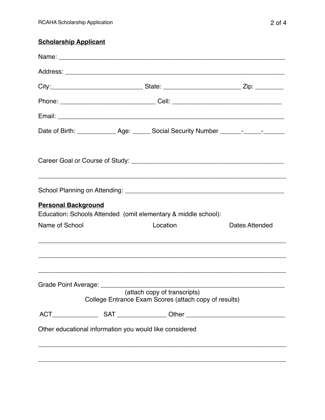## **Scholarship Applicant**

|                            | Phone: _________________________________Cell: __________________________________      |                |
|----------------------------|---------------------------------------------------------------------------------------|----------------|
|                            |                                                                                       |                |
|                            | Date of Birth: _______________ Age: _______ Social Security Number _______-______-    |                |
|                            |                                                                                       |                |
|                            |                                                                                       |                |
| <b>Personal Background</b> |                                                                                       |                |
|                            | Education: Schools Attended (omit elementary & middle school):                        |                |
| Name of School             | Location                                                                              | Dates Attended |
|                            |                                                                                       |                |
|                            | (attach copy of transcripts)<br>College Entrance Exam Scores (attach copy of results) |                |
|                            |                                                                                       |                |
|                            | Other educational information you would like considered                               |                |
|                            |                                                                                       |                |
|                            |                                                                                       |                |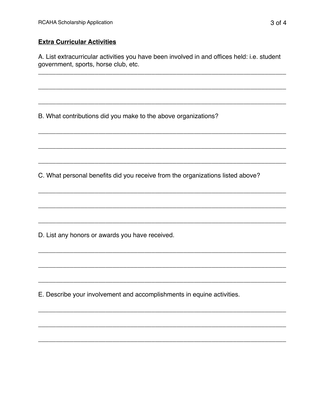### **Extra Curricular Activities**

A. List extracurricular activities you have been involved in and offices held: i.e. student government, sports, horse club, etc.

B. What contributions did you make to the above organizations?

C. What personal benefits did you receive from the organizations listed above?

D. List any honors or awards you have received.

E. Describe your involvement and accomplishments in equine activities.